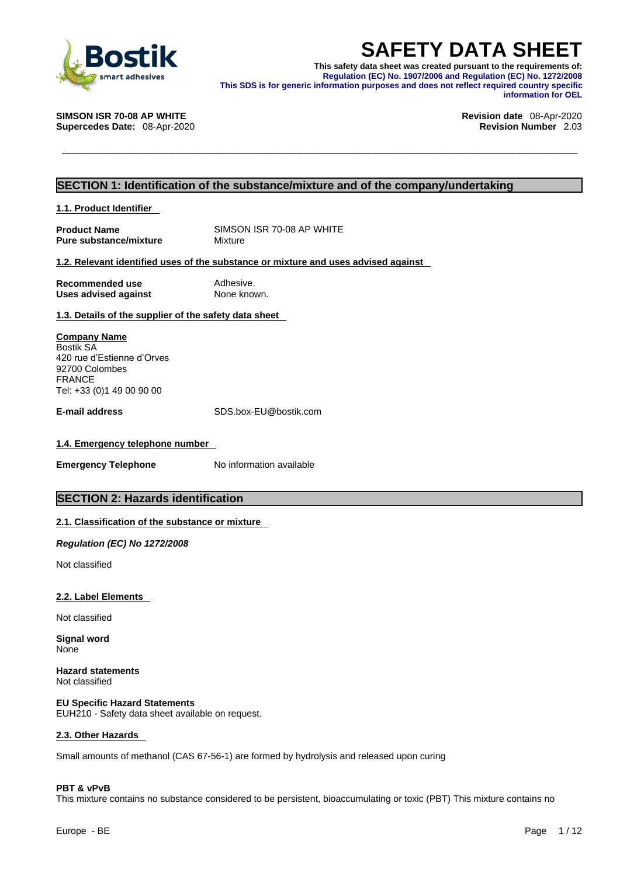

**SAFETY DATA SHEET**<br>
This safety data sheet was created pursuant to the requirements of:<br>
Regulation (EC) No. 1907/2006 and Regulation (EC) No. 1272/2008<br>
This SDS is for generic information purposes and does not reflect r **This safety data sheet was created pursuant to the requirements of: Regulation (EC) No. 1907/2006 and Regulation (EC) No. 1272/2008 This SDS is for generic information purposes and does not reflect required country specific information for OEL** 

**SIMSON ISR 70-08 AP WHITE Revision date** 08-Apr-2020

**Supercedes Date:** 08-Apr-2020 **Revision Number** 2.03

# **SECTION 1: Identification of the substance/mixture and of the company/undertaking**

**1.1. Product Identifier** 

**Product Name** SIMSON ISR 70-08 AP WHITE<br> **Pure substance/mixture** Mixture Mixture **Pure substance/mixture** 

# **1.2. Relevant identified uses of the substance or mixture and uses advised against**

| Recommended use             | Adhesive.   |
|-----------------------------|-------------|
| <b>Uses advised against</b> | None known. |

# **1.3. Details of the supplier of the safety data sheet**

**Company Name** Bostik SA 420 rue d'Estienne d'Orves 92700 Colombes FRANCE Tel: +33 (0)1 49 00 90 00

**E-mail address** SDS.box-EU@bostik.com

## **1.4. Emergency telephone number**

**Emergency Telephone** No information available

# **SECTION 2: Hazards identification**

## **2.1. Classification of the substance or mixture**

*Regulation (EC) No 1272/2008* 

Not classified

## **2.2. Label Elements**

Not classified

**Signal word** None

**Hazard statements** Not classified

**EU Specific Hazard Statements** EUH210 - Safety data sheet available on request.

## **2.3. Other Hazards**

Small amounts of methanol (CAS 67-56-1) are formed by hydrolysis and released upon curing

## **PBT & vPvB**

This mixture contains no substance considered to be persistent, bioaccumulating or toxic (PBT) This mixture contains no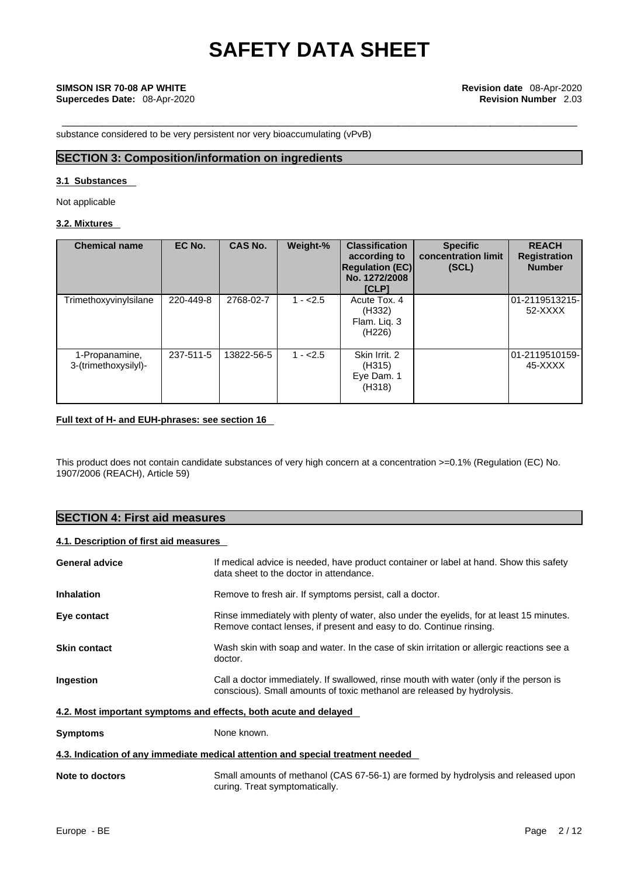substance considered to be very persistent nor very bioaccumulating (vPvB)

# **SECTION 3: Composition/information on ingredients**

# **3.1 Substances**

Not applicable

# **3.2. Mixtures**

| <b>Chemical name</b>                   | EC No.    | CAS No.    | Weight-%  | <b>Classification</b><br>according to<br><b>Regulation (EC)</b><br>No. 1272/2008<br><b>[CLP]</b> | <b>Specific</b><br>concentration limit<br>(SCL) | <b>REACH</b><br><b>Registration</b><br><b>Number</b> |
|----------------------------------------|-----------|------------|-----------|--------------------------------------------------------------------------------------------------|-------------------------------------------------|------------------------------------------------------|
| Trimethoxyvinylsilane                  | 220-449-8 | 2768-02-7  | $1 - 2.5$ | Acute Tox. 4<br>(H332)<br>Flam. Liq. 3<br>(H <sub>226</sub> )                                    |                                                 | 01-2119513215-<br>52-XXXX                            |
| 1-Propanamine,<br>3-(trimethoxysilyl)- | 237-511-5 | 13822-56-5 | $1 - 2.5$ | Skin Irrit. 2<br>(H315)<br>Eye Dam. 1<br>(H318)                                                  |                                                 | 01-2119510159-<br>45-XXXX                            |

# **Full text of H- and EUH-phrases: see section 16**

This product does not contain candidate substances of very high concern at a concentration >=0.1% (Regulation (EC) No. 1907/2006 (REACH), Article 59)

# **SECTION 4: First aid measures**

# **4.1. Description of first aid measures**

| <b>General advice</b>                                            | If medical advice is needed, have product container or label at hand. Show this safety<br>data sheet to the doctor in attendance.                                 |  |  |
|------------------------------------------------------------------|-------------------------------------------------------------------------------------------------------------------------------------------------------------------|--|--|
| <b>Inhalation</b>                                                | Remove to fresh air. If symptoms persist, call a doctor.                                                                                                          |  |  |
| Eye contact                                                      | Rinse immediately with plenty of water, also under the eyelids, for at least 15 minutes.<br>Remove contact lenses, if present and easy to do. Continue rinsing.   |  |  |
| <b>Skin contact</b>                                              | Wash skin with soap and water. In the case of skin irritation or allergic reactions see a<br>doctor.                                                              |  |  |
| Ingestion                                                        | Call a doctor immediately. If swallowed, rinse mouth with water (only if the person is<br>conscious). Small amounts of toxic methanol are released by hydrolysis. |  |  |
| 4.2. Most important symptoms and effects, both acute and delayed |                                                                                                                                                                   |  |  |
| <b>Symptoms</b>                                                  | None known.                                                                                                                                                       |  |  |
|                                                                  | 4.3. Indication of any immediate medical attention and special treatment needed                                                                                   |  |  |
| Note to doctors                                                  | Small amounts of methanol (CAS 67-56-1) are formed by hydrolysis and released upon<br>curing. Treat symptomatically.                                              |  |  |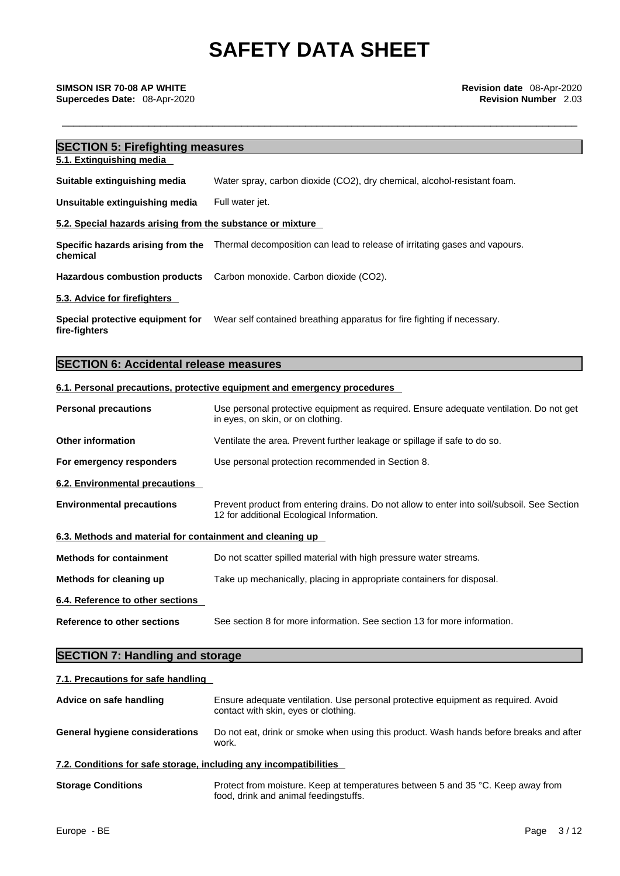| <b>SECTION 5: Firefighting measures</b>                                                                      |  |  |  |
|--------------------------------------------------------------------------------------------------------------|--|--|--|
|                                                                                                              |  |  |  |
| Water spray, carbon dioxide (CO2), dry chemical, alcohol-resistant foam.                                     |  |  |  |
| Full water jet.                                                                                              |  |  |  |
| 5.2. Special hazards arising from the substance or mixture                                                   |  |  |  |
| Specific hazards arising from the Thermal decomposition can lead to release of irritating gases and vapours. |  |  |  |
| Carbon monoxide. Carbon dioxide (CO2).<br><b>Hazardous combustion products</b>                               |  |  |  |
|                                                                                                              |  |  |  |
| Wear self contained breathing apparatus for fire fighting if necessary.                                      |  |  |  |
|                                                                                                              |  |  |  |

# **SECTION 6: Accidental release measures**

# **6.1. Personal precautions, protective equipment and emergency procedures**

| <b>Personal precautions</b>                               | Use personal protective equipment as required. Ensure adequate ventilation. Do not get<br>in eyes, on skin, or on clothing.             |
|-----------------------------------------------------------|-----------------------------------------------------------------------------------------------------------------------------------------|
| <b>Other information</b>                                  | Ventilate the area. Prevent further leakage or spillage if safe to do so.                                                               |
| For emergency responders                                  | Use personal protection recommended in Section 8.                                                                                       |
| 6.2. Environmental precautions                            |                                                                                                                                         |
| <b>Environmental precautions</b>                          | Prevent product from entering drains. Do not allow to enter into soil/subsoil. See Section<br>12 for additional Ecological Information. |
| 6.3. Methods and material for containment and cleaning up |                                                                                                                                         |
| <b>Methods for containment</b>                            | Do not scatter spilled material with high pressure water streams.                                                                       |
| Methods for cleaning up                                   | Take up mechanically, placing in appropriate containers for disposal.                                                                   |
| 6.4. Reference to other sections                          |                                                                                                                                         |
| Reference to other sections                               | See section 8 for more information. See section 13 for more information.                                                                |

# **SECTION 7: Handling and storage**

# **7.1. Precautions for safe handling**

| Advice on safe handling                                           | Ensure adequate ventilation. Use personal protective equipment as required. Avoid<br>contact with skin, eyes or clothing. |  |  |
|-------------------------------------------------------------------|---------------------------------------------------------------------------------------------------------------------------|--|--|
| <b>General hygiene considerations</b>                             | Do not eat, drink or smoke when using this product. Wash hands before breaks and after<br>work.                           |  |  |
| 7.2. Conditions for safe storage, including any incompatibilities |                                                                                                                           |  |  |
| $\sim$ $\sim$ $\sim$ $\sim$ $\sim$ $\sim$ $\sim$                  | Dectes these sections. If we statement and may be found on F and OF 00, If we see these found                             |  |  |

**Storage Conditions** Protect from moisture. Keep at temperatures between 5 and 35 °C. Keep away from food, drink and animal feedingstuffs.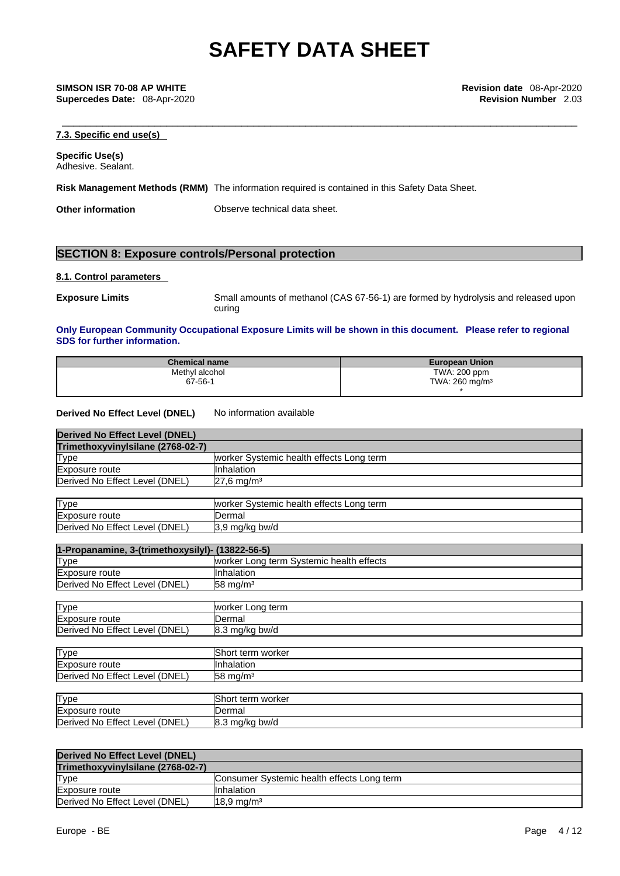**Supercedes Date:** 08-Apr-2020 **Revision Number** 2.03

\_\_\_\_\_\_\_\_\_\_\_\_\_\_\_\_\_\_\_\_\_\_\_\_\_\_\_\_\_\_\_\_\_\_\_\_\_\_\_\_\_\_\_\_\_\_\_\_\_\_\_\_\_\_\_\_\_\_\_\_\_\_\_\_\_\_\_\_\_\_\_\_\_\_\_\_\_\_\_\_\_\_\_\_\_\_\_\_\_ **SIMSON ISR 70-08 AP WHITE Revision date** 08-Apr-2020

# **7.3. Specific end use(s)**

**Specific Use(s)** Adhesive. Sealant.

**Risk Management Methods (RMM)** The information required is contained in this Safety Data Sheet.

**Other information** Observe technical data sheet.

# **SECTION 8: Exposure controls/Personal protection**

### **8.1. Control parameters**

**Exposure Limits** Small amounts of methanol (CAS 67-56-1) are formed by hydrolysis and released upon curing

# **Only European Community Occupational Exposure Limits will be shown in this document. Please refer to regional SDS for further information.**

| <b>Chemical name</b> | <b>European Union</b>        |
|----------------------|------------------------------|
| Methyl alcohol       | TWA: 200 ppm                 |
| 67-56-1              | TWA: $260$ mg/m <sup>3</sup> |
|                      |                              |

## **Derived No Effect Level (DNEL)** No information available

Derived No Effect Level (DNEL) 8.3 mg/kg bw/d

| <b>Derived No Effect Level (DNEL)</b> |                                          |
|---------------------------------------|------------------------------------------|
| Trimethoxyvinylsilane (2768-02-7)     |                                          |
| <b>Type</b>                           | worker Systemic health effects Long term |
| Exposure route                        | <b>I</b> Inhalation                      |
| Derived No Effect Level (DNEL)        | $27,6$ mg/m <sup>3</sup>                 |
|                                       |                                          |
| <b>Type</b>                           | worker Systemic health effects Long term |
| Exposure route                        | <b>IDermal</b>                           |
| Derived No Effect Level (DNEL)        | 3,9 mg/kg bw/d                           |

| 1-Propanamine, 3-(trimethoxysilyl)- (13822-56-5) |                                           |  |  |
|--------------------------------------------------|-------------------------------------------|--|--|
| <b>Type</b>                                      | Iworker Long term Systemic health effects |  |  |
| Exposure route                                   | <b>Inhalation</b>                         |  |  |
| Derived No Effect Level (DNEL)                   | $158 \text{ mg/m}^3$                      |  |  |

| <b>Type</b>                    | worker Long term         |
|--------------------------------|--------------------------|
| Exposure route                 | <b>IDermal</b>           |
| Derived No Effect Level (DNEL) | $8.3 \text{ mg/kg}$ bw/d |
|                                |                          |
| Type                           | Short term worker        |

| 11 Y P Y                       | ושוושיו יוושו אוטווטו     |
|--------------------------------|---------------------------|
| Exposure route                 | <b>Inhalation</b>         |
| Derived No Effect Level (DNEL) | $158 \text{ ma/m}^3$      |
|                                |                           |
| <b>Type</b>                    | <b>IShort term worker</b> |
| Exposure route                 | IDermal                   |

| Derived No Effect Level (DNEL)    |                                            |
|-----------------------------------|--------------------------------------------|
| Trimethoxyvinvisilane (2768-02-7) |                                            |
| <b>Type</b>                       | Consumer Systemic health effects Long term |
| Exposure route                    | IInhalation                                |
| Derived No Effect Level (DNEL)    | $18.9 \,\mathrm{mq/m^3}$                   |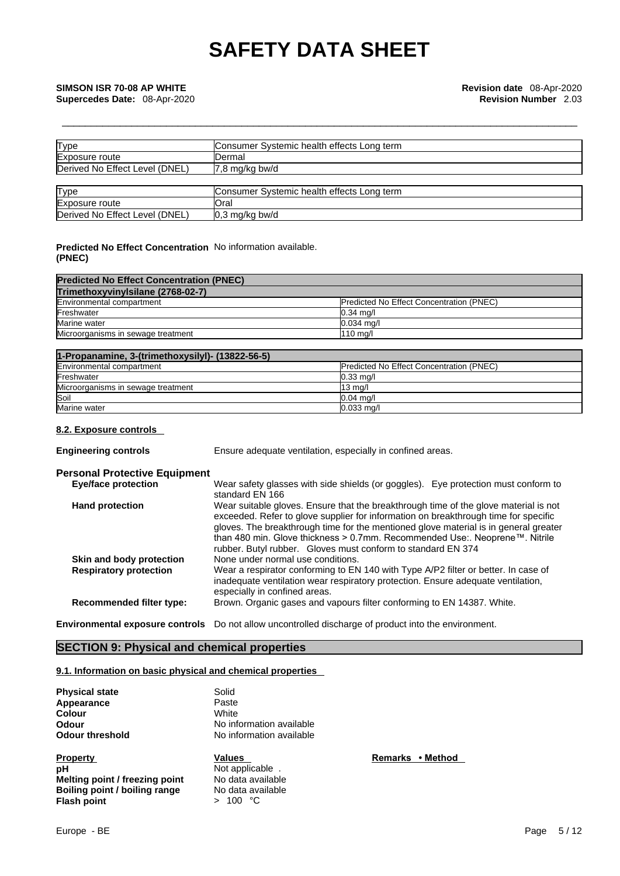| Type                           | Consumer Systemic health effects Long term |
|--------------------------------|--------------------------------------------|
| Exposure route                 | IDermal                                    |
| Derived No Effect Level (DNEL) | $7,8 \text{ mg/kg}$ bw/d                   |
|                                |                                            |
| Type                           | Consumer Systemic health effects Long term |
| Exposure route                 | Oral                                       |
| Derived No Effect Level (DNEL) | $0.3 \text{ mg/kg}$ bw/d                   |

# **Predicted No Effect Concentration** No information available. **(PNEC)**

| <b>Predicted No Effect Concentration (PNEC)</b> |                                                 |  |  |  |
|-------------------------------------------------|-------------------------------------------------|--|--|--|
| Trimethoxyvinylsilane (2768-02-7)               |                                                 |  |  |  |
| Environmental compartment                       | <b>Predicted No Effect Concentration (PNEC)</b> |  |  |  |
| Freshwater                                      | $0.34$ mg/                                      |  |  |  |
| Marine water                                    | $0.034$ ma/l                                    |  |  |  |
| Microorganisms in sewage treatment              | $110$ ma/l                                      |  |  |  |

| 1-Propanamine, 3-(trimethoxysilyl)- (13822-56-5) |                                                 |  |  |  |
|--------------------------------------------------|-------------------------------------------------|--|--|--|
| Environmental compartment                        | <b>Predicted No Effect Concentration (PNEC)</b> |  |  |  |
| Freshwater                                       | $0.33$ mg/                                      |  |  |  |
| Microorganisms in sewage treatment               | 13 ma/l                                         |  |  |  |
| Soil                                             | $0.04$ ma/                                      |  |  |  |
| Marine water                                     | $0.033$ ma/l                                    |  |  |  |

# **8.2. Exposure controls**

**Engineering controls** Ensure adequate ventilation, especially in confined areas.

# **Personal Protective Equipment**

| <b>Eye/face protection</b>      | Wear safety glasses with side shields (or goggles). Eye protection must conform to<br>standard EN 166                                                                                                                                                                                                                                                                                                              |
|---------------------------------|--------------------------------------------------------------------------------------------------------------------------------------------------------------------------------------------------------------------------------------------------------------------------------------------------------------------------------------------------------------------------------------------------------------------|
| <b>Hand protection</b>          | Wear suitable gloves. Ensure that the breakthrough time of the glove material is not<br>exceeded. Refer to glove supplier for information on breakthrough time for specific<br>gloves. The breakthrough time for the mentioned glove material is in general greater<br>than 480 min. Glove thickness > 0.7mm. Recommended Use:. Neoprene™. Nitrile<br>rubber. Butyl rubber. Gloves must conform to standard EN 374 |
| Skin and body protection        | None under normal use conditions.                                                                                                                                                                                                                                                                                                                                                                                  |
| <b>Respiratory protection</b>   | Wear a respirator conforming to EN 140 with Type A/P2 filter or better. In case of<br>inadequate ventilation wear respiratory protection. Ensure adequate ventilation,<br>especially in confined areas.                                                                                                                                                                                                            |
| <b>Recommended filter type:</b> | Brown. Organic gases and vapours filter conforming to EN 14387. White.                                                                                                                                                                                                                                                                                                                                             |
|                                 |                                                                                                                                                                                                                                                                                                                                                                                                                    |

**Environmental exposure controls** Do not allow uncontrolled discharge of product into the environment.

# **SECTION 9: Physical and chemical properties**

## **9.1. Information on basic physical and chemical properties**

| <b>Physical state</b>  | Solid              |
|------------------------|--------------------|
| Appearance             | Paste              |
| Colour                 | White              |
| Odour                  | No information ava |
| <b>Odour threshold</b> | No information ava |
| Property               | Values             |

**Property**<br> **Property**<br> **Remarks** • **Method**<br> **PH**<br> **Remarks** • **Method**<br> **PH Melting point / freezing point** No data available<br> **Boiling point / boiling range** No data available **Boiling point / boiling range** No data avanual **Flash point / boiling range**  $> 100 °C$ **Flash** point

**D** information available **D** information available

Not applicable .<br>No data available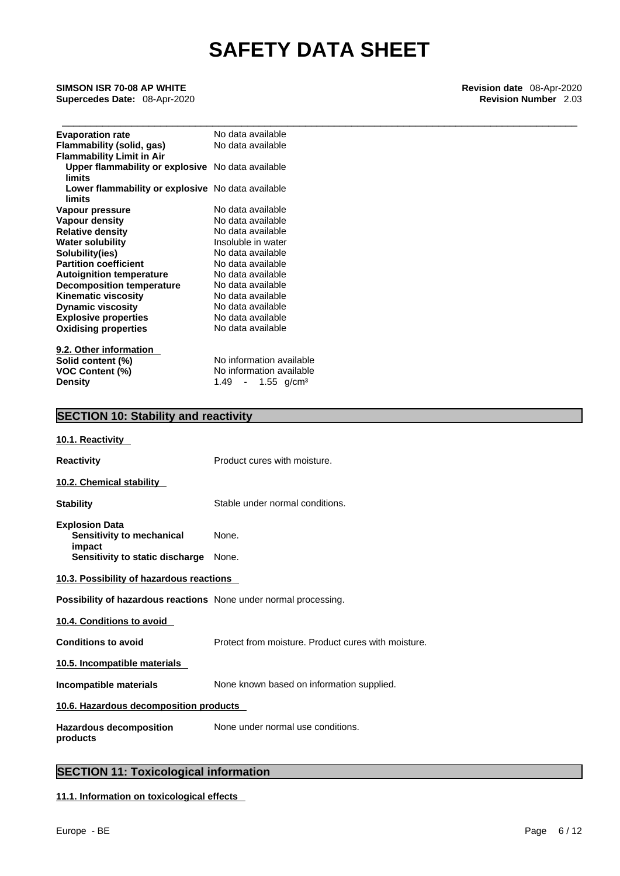\_\_\_\_\_\_\_\_\_\_\_\_\_\_\_\_\_\_\_\_\_\_\_\_\_\_\_\_\_\_\_\_\_\_\_\_\_\_\_\_\_\_\_\_\_\_\_\_\_\_\_\_\_\_\_\_\_\_\_\_\_\_\_\_\_\_\_\_\_\_\_\_\_\_\_\_\_\_\_\_\_\_\_\_\_\_\_\_\_ **SIMSON ISR 70-08 AP WHITE Revision date** 08-Apr-2020

**Supercedes Date:** 08-Apr-2020 **Revision Number** 2.03

| <b>Evaporation rate</b>                           | No data available                 |
|---------------------------------------------------|-----------------------------------|
| Flammability (solid, gas)                         | No data available                 |
| <b>Flammability Limit in Air</b>                  |                                   |
| Upper flammability or explosive No data available |                                   |
| limits                                            |                                   |
| Lower flammability or explosive No data available |                                   |
| limits                                            |                                   |
| Vapour pressure                                   | No data available                 |
| Vapour density                                    | No data available                 |
| <b>Relative density</b>                           | No data available                 |
| <b>Water solubility</b>                           | Insoluble in water                |
| Solubility(ies)                                   | No data available                 |
| <b>Partition coefficient</b>                      | No data available                 |
| <b>Autoignition temperature</b>                   | No data available                 |
| <b>Decomposition temperature</b>                  | No data available                 |
| <b>Kinematic viscosity</b>                        | No data available                 |
| <b>Dynamic viscosity</b>                          | No data available                 |
| <b>Explosive properties</b>                       | No data available                 |
| <b>Oxidising properties</b>                       | No data available                 |
|                                                   |                                   |
| 9.2. Other information                            |                                   |
| Solid content (%)                                 | No information available          |
| <b>VOC Content (%)</b>                            | No information available          |
| <b>Density</b>                                    | $1.49$ - $1.55$ g/cm <sup>3</sup> |

# **SECTION 10: Stability and reactivity**

| 10.1. Reactivity                                                                                       |                                                     |  |  |  |  |
|--------------------------------------------------------------------------------------------------------|-----------------------------------------------------|--|--|--|--|
| <b>Reactivity</b>                                                                                      | Product cures with moisture.                        |  |  |  |  |
| 10.2. Chemical stability                                                                               |                                                     |  |  |  |  |
| <b>Stability</b>                                                                                       | Stable under normal conditions.                     |  |  |  |  |
| <b>Explosion Data</b><br>Sensitivity to mechanical<br>impact<br><b>Sensitivity to static discharge</b> | None.<br>None.                                      |  |  |  |  |
| 10.3. Possibility of hazardous reactions                                                               |                                                     |  |  |  |  |
| <b>Possibility of hazardous reactions</b> None under normal processing.                                |                                                     |  |  |  |  |
| 10.4. Conditions to avoid                                                                              |                                                     |  |  |  |  |
| <b>Conditions to avoid</b>                                                                             | Protect from moisture. Product cures with moisture. |  |  |  |  |
| 10.5. Incompatible materials                                                                           |                                                     |  |  |  |  |
| Incompatible materials                                                                                 | None known based on information supplied.           |  |  |  |  |
| 10.6. Hazardous decomposition products                                                                 |                                                     |  |  |  |  |
| Hazardous decomposition<br>products                                                                    | None under normal use conditions.                   |  |  |  |  |
|                                                                                                        |                                                     |  |  |  |  |

# **SECTION 11: Toxicological information**

**11.1. Information on toxicological effects**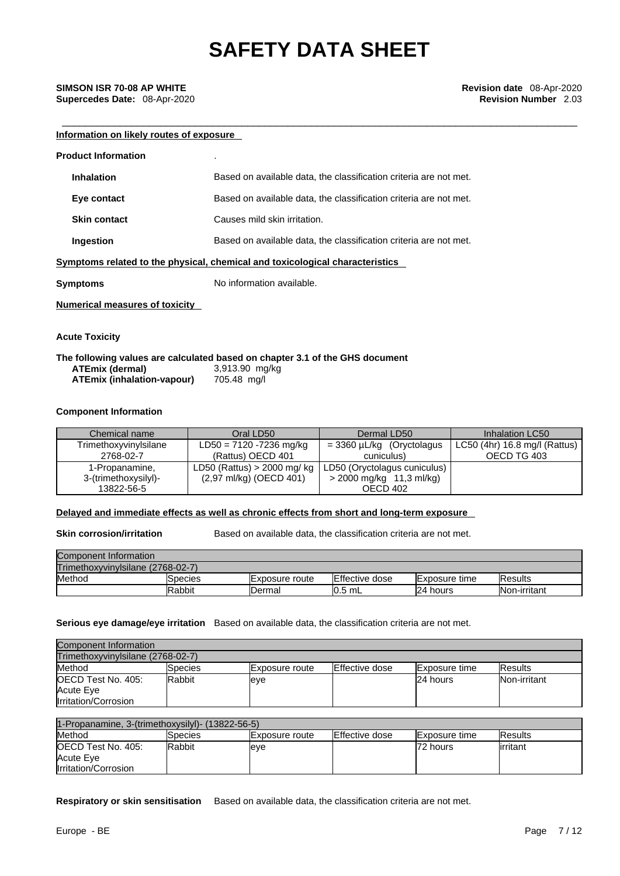# **Information on likely routes of exposure**

| <b>Product Information</b>            |                                                                              |
|---------------------------------------|------------------------------------------------------------------------------|
| <b>Inhalation</b>                     | Based on available data, the classification criteria are not met.            |
| Eye contact                           | Based on available data, the classification criteria are not met.            |
| <b>Skin contact</b>                   | Causes mild skin irritation.                                                 |
| Ingestion                             | Based on available data, the classification criteria are not met.            |
|                                       | Symptoms related to the physical, chemical and toxicological characteristics |
| Symptoms                              | No information available.                                                    |
| <b>Numerical measures of toxicity</b> |                                                                              |

**Acute Toxicity** 

## **The following values are calculated based on chapter 3.1 of the GHS document ATEmix** (dermal) **ATEmix (inhalation-vapour)** 705.48 mg/l

### **Component Information**

| Chemical name         | Oral LD50                    | Dermal LD50                  | Inhalation LC50               |
|-----------------------|------------------------------|------------------------------|-------------------------------|
| Trimethoxyvinylsilane | $LD50 = 7120 - 7236$ mg/kg   | $=$ 3360 µL/kg (Oryctolagus  | LC50 (4hr) 16.8 mg/l (Rattus) |
| 2768-02-7             | (Rattus) OECD 401            | cuniculus)                   | OECD TG 403                   |
| 1-Propanamine,        | LD50 (Rattus) $>$ 2000 mg/kg | LD50 (Oryctolagus cuniculus) |                               |
| 3-(trimethoxysilyl)-  | (2,97 ml/kg) (OECD 401)      | > 2000 mg/kg 11,3 ml/kg)     |                               |
| 13822-56-5            |                              | OECD 402                     |                               |

## **Delayed and immediate effects as well as chronic effects from short and long-term exposure**

**Skin corrosion/irritation** Based on available data, the classification criteria are not met.

| Component Information             |         |                        |                |                       |                     |  |
|-----------------------------------|---------|------------------------|----------------|-----------------------|---------------------|--|
| Trimethoxyvinylsilane (2768-02-7) |         |                        |                |                       |                     |  |
| Method                            | Species | <b>IExposure route</b> | Effective dose | <b>IExposure time</b> | <b>IResults</b>     |  |
|                                   | Rabbit  | <b>IDermal</b>         | $10.5$ mL      | 24 hours              | <b>Non-irritant</b> |  |

**Serious eye damage/eye irritation** Based on available data, the classification criteria are not met.

| Component Information             |               |                |                |                       |                 |  |
|-----------------------------------|---------------|----------------|----------------|-----------------------|-----------------|--|
| Trimethoxyvinylsilane (2768-02-7) |               |                |                |                       |                 |  |
| Method                            | Species       | Exposure route | Effective dose | <b>IExposure time</b> | <b>IResults</b> |  |
| OECD Test No. 405:                | <b>Rabbit</b> | leve           |                | 24 hours              | Non-irritant    |  |
| Acute Eye                         |               |                |                |                       |                 |  |
| Irritation/Corrosion              |               |                |                |                       |                 |  |

| $1$ -Propanamine, 3-(trimethoxysilyl)- (13822-56-5) |                |                        |                |                      |                 |  |
|-----------------------------------------------------|----------------|------------------------|----------------|----------------------|-----------------|--|
| Method                                              | <b>Species</b> | <b>IExposure</b> route | Effective dose | <b>Exposure time</b> | <b>IResults</b> |  |
| <b>IOECD Test No. 405:</b>                          | Rabbit         | leve                   |                | 72 hours             | lirritant       |  |
| Acute Eve                                           |                |                        |                |                      |                 |  |
| Irritation/Corrosion                                |                |                        |                |                      |                 |  |

**Respiratory or skin sensitisation** Based on available data, the classification criteria are not met.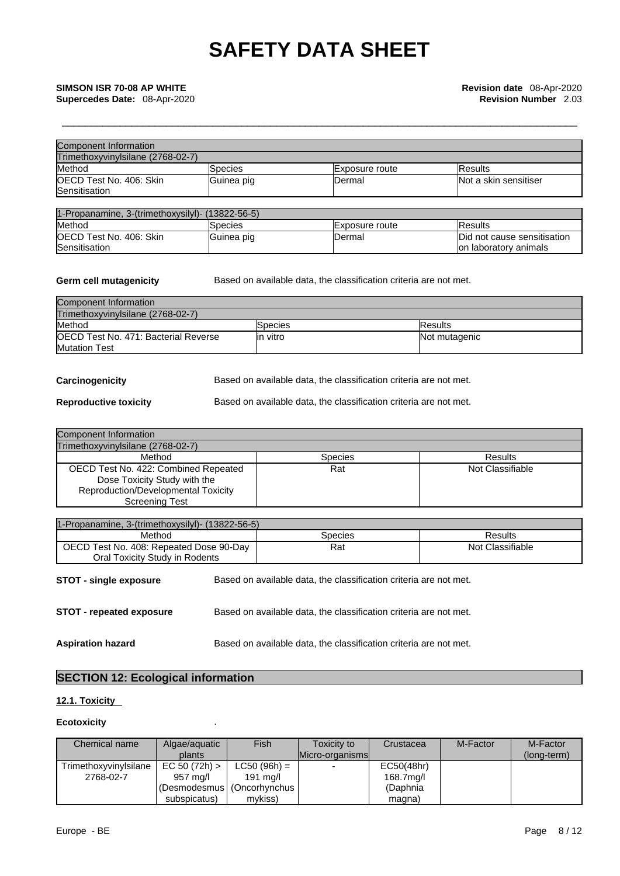| Component Information                    |            |                |                       |
|------------------------------------------|------------|----------------|-----------------------|
| Trimethoxyvinylsilane (2768-02-7)        |            |                |                       |
| Method                                   | Species    | Exposure route | <b>Results</b>        |
| OECD Test No. 406: Skin<br>Sensitisation | Guinea pig | <b>IDermal</b> | Not a skin sensitiser |

| 1-Propanamine, 3-(trimethoxysilyl)- (13822-56-5) |            |                 |                             |
|--------------------------------------------------|------------|-----------------|-----------------------------|
| Method                                           | Species    | IExposure route | lResults                    |
| <b>IOECD Test No. 406: Skin</b>                  | Guinea pig | IDermal         | Did not cause sensitisation |
| Sensitisation                                    |            |                 | lon laboratory animals      |

**Germ cell mutagenicity** Based on available data, the classification criteria are not met.

| Component Information                        |           |                 |
|----------------------------------------------|-----------|-----------------|
| Trimethoxyvinvlsilane (2768-02-7)            |           |                 |
| Method                                       | lSpecies  | <b>IResults</b> |
| <b>IOECD Test No. 471: Bacterial Reverse</b> | lin vitro | Not mutagenic   |
| <b>Mutation Test</b>                         |           |                 |

**Carcinogenicity** Based on available data, the classification criteria are not met.

**Reproductive toxicity** Based on available data, the classification criteria are not met.

| <b>Component Information</b>                                         |                |                  |
|----------------------------------------------------------------------|----------------|------------------|
| Trimethoxyvinylsilane (2768-02-7)                                    |                |                  |
| Method                                                               | <b>Species</b> | <b>Results</b>   |
| OECD Test No. 422: Combined Repeated<br>Dose Toxicity Study with the | Rat            | Not Classifiable |
| Reproduction/Developmental Toxicity<br><b>Screening Test</b>         |                |                  |

| 1-Propanamine, 3-(trimethoxysilyl)- (13822-56-5)  |  |                                                                   |                  |
|---------------------------------------------------|--|-------------------------------------------------------------------|------------------|
| Method<br>OECD Test No. 408: Repeated Dose 90-Day |  | <b>Species</b>                                                    | Results          |
|                                                   |  | Rat                                                               | Not Classifiable |
| Oral Toxicity Study in Rodents                    |  |                                                                   |                  |
| <b>STOT - single exposure</b>                     |  | Based on available data, the classification criteria are not met. |                  |
| STOT - repeated exposure                          |  | Based on available data, the classification criteria are not met. |                  |
| <b>Aspiration hazard</b>                          |  | Based on available data, the classification criteria are not met. |                  |

# **SECTION 12: Ecological information**

# **12.1. Toxicity**

# **Ecotoxicity** .

| Chemical name         | Algae/aguatic                | Fish           | Toxicity to     | Crustacea  | M-Factor | M-Factor    |
|-----------------------|------------------------------|----------------|-----------------|------------|----------|-------------|
|                       | plants                       |                | Micro-organisms |            |          | (long-term) |
| Trimethoxyvinylsilane | EC 50 (72h)                  | $LC50 (96h) =$ |                 | EC50(48hr) |          |             |
| 2768-02-7             | 957 mg/l                     | 191 ma/l       |                 | 168.7mg/l  |          |             |
|                       | (Desmodesmus   (Oncorhynchus |                |                 | (Daphnia   |          |             |
|                       | subspicatus)                 | mvkiss)        |                 | magna)     |          |             |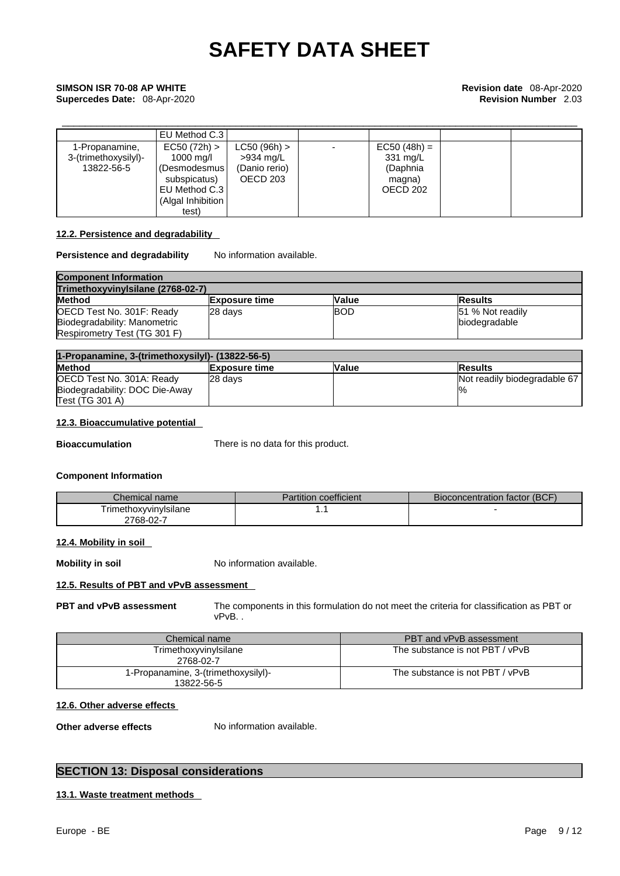# \_\_\_\_\_\_\_\_\_\_\_\_\_\_\_\_\_\_\_\_\_\_\_\_\_\_\_\_\_\_\_\_\_\_\_\_\_\_\_\_\_\_\_\_\_\_\_\_\_\_\_\_\_\_\_\_\_\_\_\_\_\_\_\_\_\_\_\_\_\_\_\_\_\_\_\_\_\_\_\_\_\_\_\_\_\_\_\_\_ **SIMSON ISR 70-08 AP WHITE Revision date** 08-Apr-2020 **Supercedes Date:** 08-Apr-2020 **Revision Number** 2.03

|                                                      | EU Method C.3                                                                                     |                                                            |                                                                        |  |
|------------------------------------------------------|---------------------------------------------------------------------------------------------------|------------------------------------------------------------|------------------------------------------------------------------------|--|
| 1-Propanamine,<br>3-(trimethoxysilyl)-<br>13822-56-5 | EC50 (72h) ><br>1000 mg/l<br>(Desmodesmus  <br>subspicatus)<br>EU Method C.3<br>(Algal Inhibition | $LC50 (96h)$ ><br>$>934$ mg/L<br>(Danio rerio)<br>OECD 203 | $EC50 (48h) =$<br>$331 \text{ mg/L}$<br>(Daphnia<br>magna)<br>OECD 202 |  |
|                                                      | test)                                                                                             |                                                            |                                                                        |  |

# **12.2. Persistence and degradability**

# **Persistence and degradability** No information available.

| <b>Component Information</b><br>Trimethoxyvinylsilane (2768-02-7) |         |            |                  |
|-------------------------------------------------------------------|---------|------------|------------------|
|                                                                   |         |            | <b>Method</b>    |
| OECD Test No. 301F: Ready                                         | 28 davs | <b>BOD</b> | 51 % Not readily |
| Biodegradability: Manometric                                      |         |            | biodegradable    |
| Respirometry Test (TG 301 F)                                      |         |            |                  |

| 1-Propanamine, 3-(trimethoxysilyl)- (13822-56-5) |                      |              |                              |
|--------------------------------------------------|----------------------|--------------|------------------------------|
| <b>Method</b>                                    | <b>Exposure time</b> | <b>Value</b> | <b>Results</b>               |
| OECD Test No. 301A: Ready                        | 28 davs              |              | Not readily biodegradable 67 |
| Biodegradability: DOC Die-Away                   |                      |              | $\frac{10}{6}$               |
| Test (TG 301 A)                                  |                      |              |                              |

# **12.3. Bioaccumulative potential**

**Bioaccumulation** There is no data for this product.

# **Component Information**

| Chemical name          | Partition coefficient | Bioconcentration factor (BCF) |
|------------------------|-----------------------|-------------------------------|
| I rimethoxyvinyIsilane | . .                   |                               |
| ∠768-02-7              |                       |                               |

## **12.4. Mobility in soil**

**Mobility in soil** No information available.

# **12.5. Results of PBT and vPvB assessment**

**PBT and vPvB assessment** The components in this formulation do not meet the criteria for classification as PBT or vPvB. .

| Chemical name                                     | PBT and vPvB assessment         |
|---------------------------------------------------|---------------------------------|
| Trimethoxyvinylsilane<br>2768-02-7                | The substance is not PBT / vPvB |
| 1-Propanamine, 3-(trimethoxysilyl)-<br>13822-56-5 | The substance is not PBT / vPvB |

## **12.6. Other adverse effects**

**Other adverse effects** No information available.

# **SECTION 13: Disposal considerations**

# **13.1. Waste treatment methods**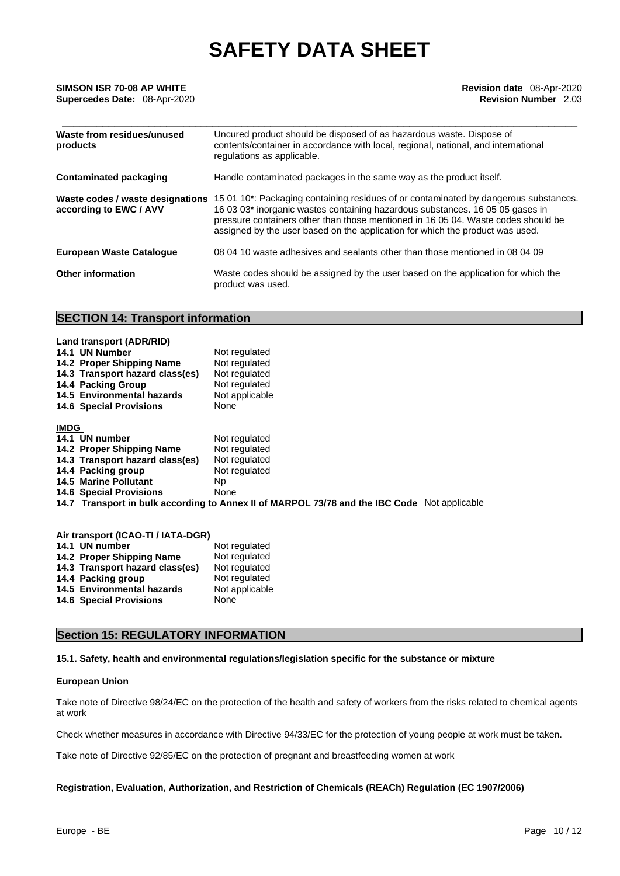| Waste from residues/unused<br>products                     | Uncured product should be disposed of as hazardous waste. Dispose of<br>contents/container in accordance with local, regional, national, and international<br>regulations as applicable.                                                                                                                                                    |
|------------------------------------------------------------|---------------------------------------------------------------------------------------------------------------------------------------------------------------------------------------------------------------------------------------------------------------------------------------------------------------------------------------------|
| <b>Contaminated packaging</b>                              | Handle contaminated packages in the same way as the product itself.                                                                                                                                                                                                                                                                         |
| Waste codes / waste designations<br>according to EWC / AVV | 15 01 10*: Packaging containing residues of or contaminated by dangerous substances.<br>16 03 03* inorganic wastes containing hazardous substances. 16 05 05 gases in<br>pressure containers other than those mentioned in 16 05 04. Waste codes should be<br>assigned by the user based on the application for which the product was used. |
| <b>European Waste Catalogue</b>                            | 08 04 10 waste adhesives and sealants other than those mentioned in 08 04 09                                                                                                                                                                                                                                                                |
| Other information                                          | Waste codes should be assigned by the user based on the application for which the<br>product was used.                                                                                                                                                                                                                                      |

# **SECTION 14: Transport information**

|             | Land transport (ADR/RID)<br>14.1 UN Number<br>14.2 Proper Shipping Name<br>14.3 Transport hazard class(es)<br>14.4 Packing Group<br>14.5 Environmental hazards<br><b>14.6 Special Provisions</b> | Not regulated<br>Not regulated<br>Not regulated<br>Not regulated<br>Not applicable<br>None   |
|-------------|--------------------------------------------------------------------------------------------------------------------------------------------------------------------------------------------------|----------------------------------------------------------------------------------------------|
| <b>IMDG</b> |                                                                                                                                                                                                  |                                                                                              |
|             | 14.1 UN number                                                                                                                                                                                   | Not regulated                                                                                |
|             | 14.2 Proper Shipping Name                                                                                                                                                                        | Not regulated                                                                                |
|             | 14.3 Transport hazard class(es)                                                                                                                                                                  | Not regulated                                                                                |
|             | 14.4 Packing group                                                                                                                                                                               | Not regulated                                                                                |
|             | <b>14.5 Marine Pollutant</b>                                                                                                                                                                     | Np.                                                                                          |
|             | <b>14.6 Special Provisions</b>                                                                                                                                                                   | None                                                                                         |
|             |                                                                                                                                                                                                  | 14.7 Transport in bulk according to Annex II of MARPOL 73/78 and the IBC Code Not applicable |

| Air transport (ICAO-TI / IATA-DGR) |                |  |  |  |
|------------------------------------|----------------|--|--|--|
| 14.1 UN number                     | Not regulated  |  |  |  |
| 14.2 Proper Shipping Name          | Not regulated  |  |  |  |
| 14.3 Transport hazard class(es)    | Not regulated  |  |  |  |
| 14.4 Packing group                 | Not regulated  |  |  |  |
| 14.5 Environmental hazards         | Not applicable |  |  |  |
| <b>14.6 Special Provisions</b>     | None           |  |  |  |
|                                    |                |  |  |  |

# **Section 15: REGULATORY INFORMATION**

# **15.1. Safety, health and environmental regulations/legislation specific for the substance or mixture**

# **European Union**

Take note of Directive 98/24/EC on the protection of the health and safety of workers from the risks related to chemical agents at work

Check whether measures in accordance with Directive 94/33/EC for the protection of young people at work must be taken.

Take note of Directive 92/85/EC on the protection of pregnant and breastfeeding women at work

# **Registration, Evaluation, Authorization, and Restriction of Chemicals (REACh) Regulation (EC 1907/2006)**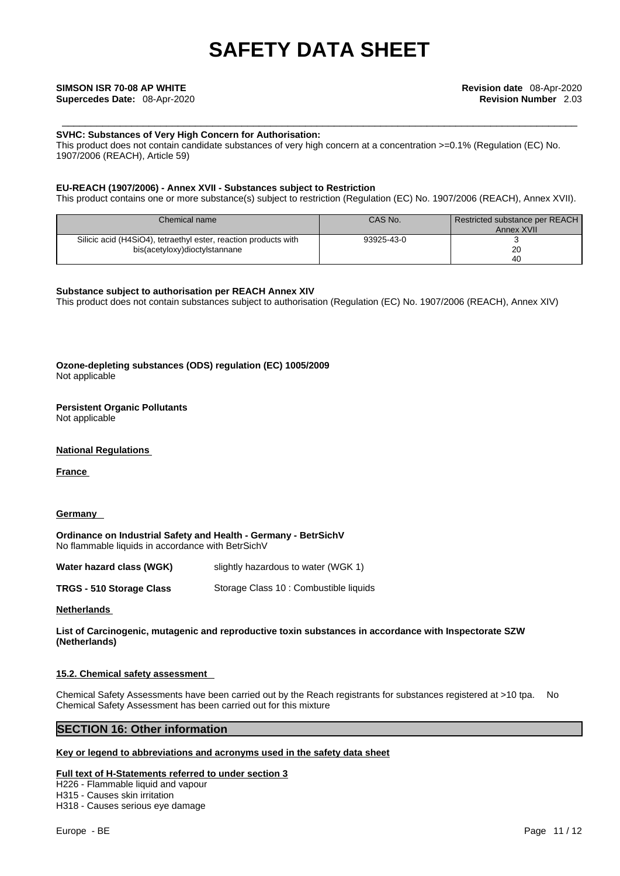## **SVHC: Substances of Very High Concern for Authorisation:**

This product does not contain candidate substances of very high concern at a concentration >=0.1% (Regulation (EC) No. 1907/2006 (REACH), Article 59)

# **EU-REACH (1907/2006) - Annex XVII - Substances subject to Restriction**

This product contains one or more substance(s) subject to restriction (Regulation (EC) No. 1907/2006 (REACH), Annex XVII).

| Chemical name                                                   | CAS No.    | Restricted substance per REACH<br>Annex XVII |
|-----------------------------------------------------------------|------------|----------------------------------------------|
| Silicic acid (H4SiO4), tetraethyl ester, reaction products with | 93925-43-0 |                                              |
| bis(acetyloxy)dioctylstannane                                   |            | 20                                           |
|                                                                 |            | 40                                           |

### **Substance subject to authorisation per REACH Annex XIV**

This product does not contain substances subject to authorisation (Regulation (EC) No. 1907/2006 (REACH), Annex XIV)

**Ozone-depleting substances (ODS) regulation (EC) 1005/2009** Not applicable

# **Persistent Organic Pollutants**

Not applicable

# **National Regulations**

**France** 

## **Germany**

**Ordinance on Industrial Safety and Health - Germany - BetrSichV** No flammable liquids in accordance with BetrSichV

**Water hazard class (WGK)** slightly hazardous to water (WGK 1)

**TRGS - 510 Storage Class** Storage Class 10 : Combustible liquids

## **Netherlands**

**List of Carcinogenic, mutagenic and reproductive toxin substances in accordance with Inspectorate SZW (Netherlands)**

## **15.2. Chemical safety assessment**

Chemical Safety Assessments have been carried out by the Reach registrants for substances registered at >10 tpa. No Chemical Safety Assessment has been carried out for this mixture

# **SECTION 16: Other information**

## **Key or legend to abbreviations and acronyms used in the safety data sheet**

## **Full text of H-Statements referred to under section 3**

H226 - Flammable liquid and vapour H315 - Causes skin irritation H318 - Causes serious eye damage